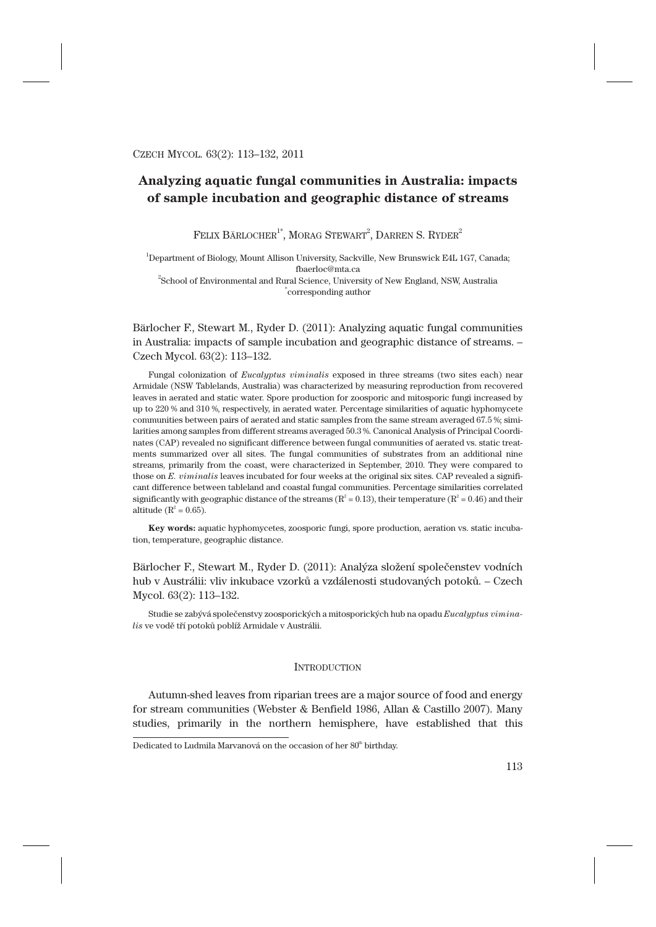# **Analyzing aquatic fungal communities in Australia: impacts of sample incubation and geographic distance of streams**

 ${\rm FELIX}$  BÄRLOCHER $^{1^*}$ , MORAG STEWART $^2$ , DARREN S. RYDER $^2$ 

1 Department of Biology, Mount Allison University, Sackville, New Brunswick E4L 1G7, Canada; fbaerloc@mta.ca

 $^{2}$ School of Environmental and Rural Science, University of New England, NSW, Australia \* corresponding author

Bärlocher F., Stewart M., Ryder D. (2011): Analyzing aquatic fungal communities in Australia: impacts of sample incubation and geographic distance of streams. – Czech Mycol. 63(2): 113–132.

Fungal colonization of *Eucalyptus viminalis* exposed in three streams (two sites each) near Armidale (NSW Tablelands, Australia) was characterized by measuring reproduction from recovered leaves in aerated and static water. Spore production for zoosporic and mitosporic fungi increased by up to 220 % and 310 %, respectively, in aerated water. Percentage similarities of aquatic hyphomycete communities between pairs of aerated and static samples from the same stream averaged 67.5 %; similarities among samples from different streams averaged 50.3 %. Canonical Analysis of Principal Coordinates (CAP) revealed no significant difference between fungal communities of aerated vs. static treatments summarized over all sites. The fungal communities of substrates from an additional nine streams, primarily from the coast, were characterized in September, 2010. They were compared to those on *E. viminalis* leaves incubated for four weeks at the original six sites. CAP revealed a significant difference between tableland and coastal fungal communities. Percentage similarities correlated significantly with geographic distance of the streams ( $R^2 = 0.13$ ), their temperature ( $R^2 = 0.46$ ) and their altitude ( $R^2 = 0.65$ ).

**Key words:** aquatic hyphomycetes, zoosporic fungi, spore production, aeration vs. static incubation, temperature, geographic distance.

Bärlocher F., Stewart M., Ryder D. (2011): Analýza složení společenstev vodních hub v Austrálii: vliv inkubace vzorků a vzdálenosti studovaných potoků. – Czech Mycol. 63(2): 113–132.

Studie se zabývá společenstvy zoosporických a mitosporických hub na opadu *Eucalyptus viminalis* ve vodě tří potoků poblíž Armidale v Austrálii.

# **INTRODUCTION**

Autumn-shed leaves from riparian trees are a major source of food and energy for stream communities (Webster & Benfield 1986, Allan & Castillo 2007). Many studies, primarily in the northern hemisphere, have established that this

Dedicated to Ludmila Marvanová on the occasion of her 80<sup>th</sup> birthday.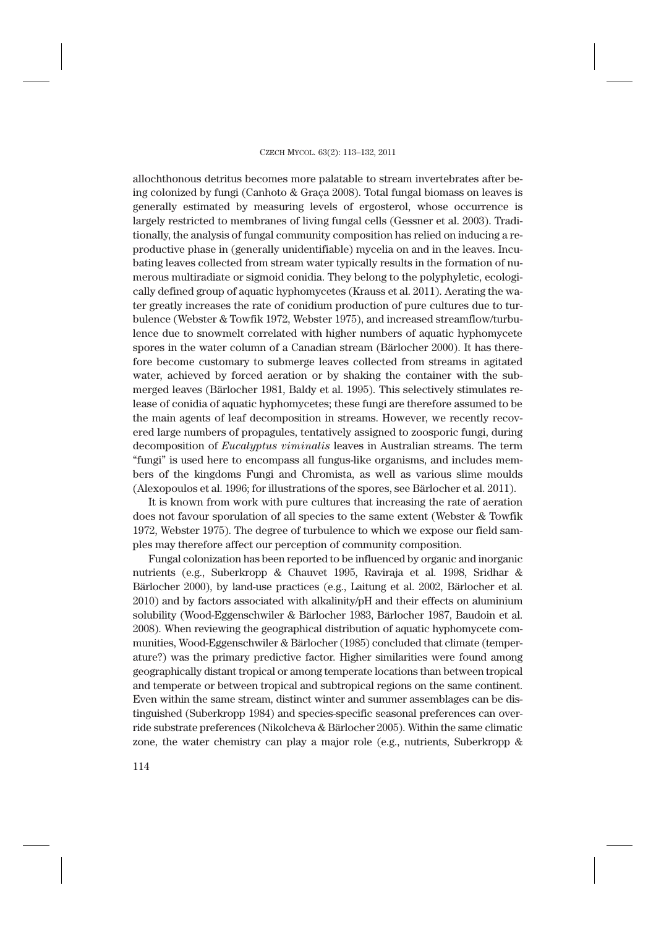allochthonous detritus becomes more palatable to stream invertebrates after being colonized by fungi (Canhoto & Graça 2008). Total fungal biomass on leaves is generally estimated by measuring levels of ergosterol, whose occurrence is largely restricted to membranes of living fungal cells (Gessner et al. 2003). Traditionally, the analysis of fungal community composition has relied on inducing a reproductive phase in (generally unidentifiable) mycelia on and in the leaves. Incubating leaves collected from stream water typically results in the formation of numerous multiradiate or sigmoid conidia. They belong to the polyphyletic, ecologically defined group of aquatic hyphomycetes (Krauss et al. 2011). Aerating the water greatly increases the rate of conidium production of pure cultures due to turbulence (Webster & Towfik 1972, Webster 1975), and increased streamflow/turbulence due to snowmelt correlated with higher numbers of aquatic hyphomycete spores in the water column of a Canadian stream (Bärlocher 2000). It has therefore become customary to submerge leaves collected from streams in agitated water, achieved by forced aeration or by shaking the container with the submerged leaves (Bärlocher 1981, Baldy et al. 1995). This selectively stimulates release of conidia of aquatic hyphomycetes; these fungi are therefore assumed to be the main agents of leaf decomposition in streams. However, we recently recovered large numbers of propagules, tentatively assigned to zoosporic fungi, during decomposition of *Eucalyptus viminalis* leaves in Australian streams. The term "fungi" is used here to encompass all fungus-like organisms, and includes members of the kingdoms Fungi and Chromista, as well as various slime moulds (Alexopoulos et al. 1996; for illustrations of the spores, see Bärlocher et al. 2011).

It is known from work with pure cultures that increasing the rate of aeration does not favour sporulation of all species to the same extent (Webster & Towfik 1972, Webster 1975). The degree of turbulence to which we expose our field samples may therefore affect our perception of community composition.

Fungal colonization has been reported to be influenced by organic and inorganic nutrients (e.g., Suberkropp & Chauvet 1995, Raviraja et al. 1998, Sridhar & Bärlocher 2000), by land-use practices (e.g., Laitung et al. 2002, Bärlocher et al. 2010) and by factors associated with alkalinity/pH and their effects on aluminium solubility (Wood-Eggenschwiler & Bärlocher 1983, Bärlocher 1987, Baudoin et al. 2008). When reviewing the geographical distribution of aquatic hyphomycete communities, Wood-Eggenschwiler & Bärlocher (1985) concluded that climate (temperature?) was the primary predictive factor. Higher similarities were found among geographically distant tropical or among temperate locations than between tropical and temperate or between tropical and subtropical regions on the same continent. Even within the same stream, distinct winter and summer assemblages can be distinguished (Suberkropp 1984) and species-specific seasonal preferences can override substrate preferences (Nikolcheva & Bärlocher 2005). Within the same climatic zone, the water chemistry can play a major role (e.g., nutrients, Suberkropp &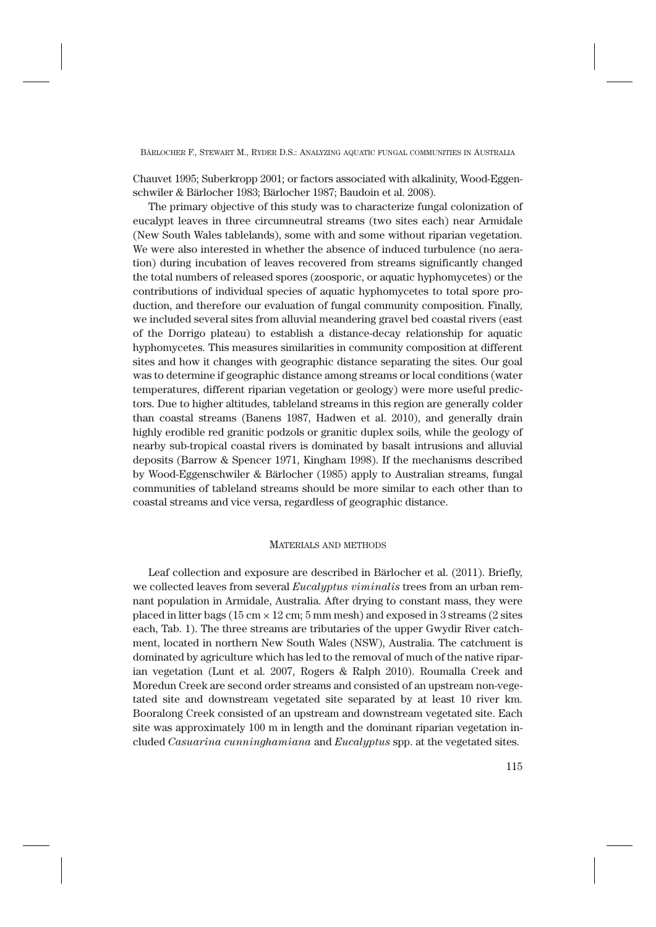Chauvet 1995; Suberkropp 2001; or factors associated with alkalinity, Wood-Eggenschwiler & Bärlocher 1983; Bärlocher 1987; Baudoin et al. 2008).

The primary objective of this study was to characterize fungal colonization of eucalypt leaves in three circumneutral streams (two sites each) near Armidale (New South Wales tablelands), some with and some without riparian vegetation. We were also interested in whether the absence of induced turbulence (no aeration) during incubation of leaves recovered from streams significantly changed the total numbers of released spores (zoosporic, or aquatic hyphomycetes) or the contributions of individual species of aquatic hyphomycetes to total spore production, and therefore our evaluation of fungal community composition. Finally, we included several sites from alluvial meandering gravel bed coastal rivers (east of the Dorrigo plateau) to establish a distance-decay relationship for aquatic hyphomycetes. This measures similarities in community composition at different sites and how it changes with geographic distance separating the sites. Our goal was to determine if geographic distance among streams or local conditions (water temperatures, different riparian vegetation or geology) were more useful predictors. Due to higher altitudes, tableland streams in this region are generally colder than coastal streams (Banens 1987, Hadwen et al. 2010), and generally drain highly erodible red granitic podzols or granitic duplex soils, while the geology of nearby sub-tropical coastal rivers is dominated by basalt intrusions and alluvial deposits (Barrow & Spencer 1971, Kingham 1998). If the mechanisms described by Wood-Eggenschwiler & Bärlocher (1985) apply to Australian streams, fungal communities of tableland streams should be more similar to each other than to coastal streams and vice versa, regardless of geographic distance.

#### MATERIALS AND METHODS

Leaf collection and exposure are described in Bärlocher et al. (2011). Briefly, we collected leaves from several *Eucalyptus viminalis* trees from an urban remnant population in Armidale, Australia. After drying to constant mass, they were placed in litter bags ( $15 \text{ cm} \times 12 \text{ cm}$ ;  $5 \text{ mm}$  mesh) and exposed in  $3$  streams ( $2$  sites each, Tab. 1). The three streams are tributaries of the upper Gwydir River catchment, located in northern New South Wales (NSW), Australia. The catchment is dominated by agriculture which has led to the removal of much of the native riparian vegetation (Lunt et al. 2007, Rogers & Ralph 2010). Roumalla Creek and Moredun Creek are second order streams and consisted of an upstream non-vegetated site and downstream vegetated site separated by at least 10 river km. Booralong Creek consisted of an upstream and downstream vegetated site. Each site was approximately 100 m in length and the dominant riparian vegetation included *Casuarina cunninghamiana* and *Eucalyptus* spp. at the vegetated sites.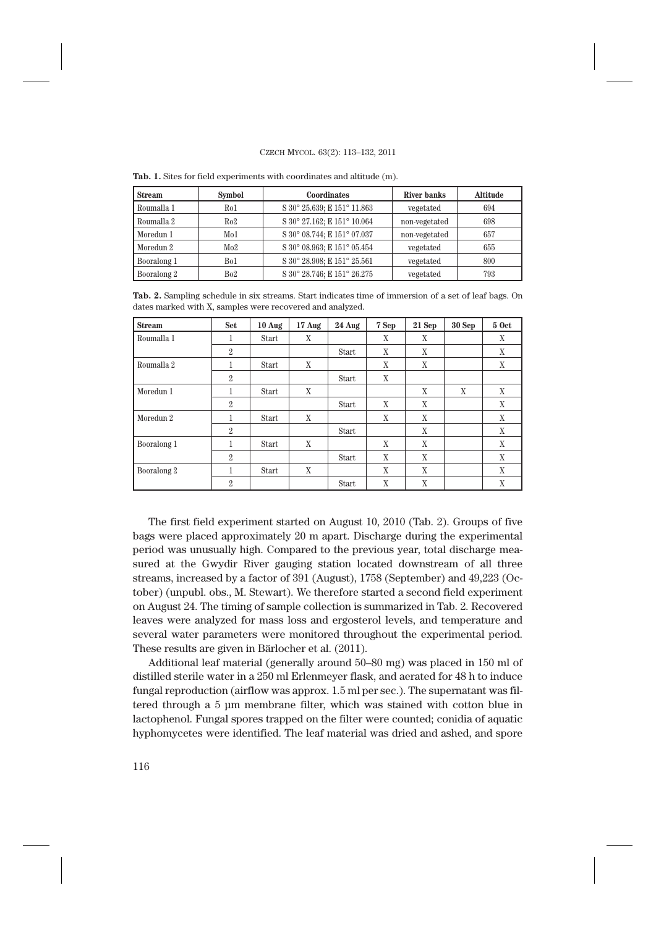| <b>Stream</b> | <b>Symbol</b> | <b>Coordinates</b>          | River banks   | <b>Altitude</b> |
|---------------|---------------|-----------------------------|---------------|-----------------|
| Roumalla 1    | Ro1           | S 30° 25.639; E 151° 11.863 | vegetated     | 694             |
| Roumalla 2    | Ro2           | S 30° 27.162; E 151° 10.064 | non-vegetated | 698             |
| Moredun 1     | Mo1           | S 30° 08.744; E 151° 07.037 | non-vegetated | 657             |
| Moredun 2     | Mo2           | S 30° 08.963; E 151° 05.454 | vegetated     | 655             |
| Booralong 1   | Bo1           | S 30° 28.908; E 151° 25.561 | vegetated     | 800             |
| Booralong 2   | Bo2           | S 30° 28.746; E 151° 26.275 | vegetated     | 793             |

**Tab. 1.** Sites for field experiments with coordinates and altitude (m).

**Tab. 2.** Sampling schedule in six streams. Start indicates time of immersion of a set of leaf bags. On dates marked with X, samples were recovered and analyzed.

| <b>Stream</b>        | <b>Set</b>     | 10 Aug       | 17 Aug | 24 Aug       | 7 Sep | 21 Sep | 30 Sep | <b>5 Oct</b> |
|----------------------|----------------|--------------|--------|--------------|-------|--------|--------|--------------|
| Roumalla 1           | 1              | <b>Start</b> | X      |              | X     | X      |        | X            |
|                      | $\overline{2}$ |              |        | <b>Start</b> | X     | X      |        | X            |
| Roumalla 2           | H.             | Start        | X      |              | X     | X      |        | X            |
|                      | $\overline{2}$ |              |        | Start        | X     |        |        |              |
| Moredun 1            | 1              | Start        | X      |              |       | X      | X      | X            |
|                      | $\overline{2}$ |              |        | <b>Start</b> | X     | X      |        | X            |
| Moredun <sub>2</sub> | 1              | <b>Start</b> | X      |              | X     | X      |        | X            |
|                      | $\overline{2}$ |              |        | <b>Start</b> |       | X      |        | X            |
| Booralong 1          |                | <b>Start</b> | X      |              | X     | X      |        | X            |
|                      | $\overline{2}$ |              |        | <b>Start</b> | X     | X      |        | X            |
| Booralong 2          | 1              | Start        | X      |              | X     | X      |        | X            |
|                      | $\overline{2}$ |              |        | <b>Start</b> | X     | X      |        | X            |

The first field experiment started on August 10, 2010 (Tab. 2). Groups of five bags were placed approximately 20 m apart. Discharge during the experimental period was unusually high. Compared to the previous year, total discharge measured at the Gwydir River gauging station located downstream of all three streams, increased by a factor of 391 (August), 1758 (September) and 49,223 (October) (unpubl. obs., M. Stewart). We therefore started a second field experiment on August 24. The timing of sample collection is summarized in Tab. 2. Recovered leaves were analyzed for mass loss and ergosterol levels, and temperature and several water parameters were monitored throughout the experimental period. These results are given in Bärlocher et al. (2011).

Additional leaf material (generally around 50–80 mg) was placed in 150 ml of distilled sterile water in a 250 ml Erlenmeyer flask, and aerated for 48 h to induce fungal reproduction (airflow was approx. 1.5 ml per sec.). The supernatant was filtered through a 5 μm membrane filter, which was stained with cotton blue in lactophenol. Fungal spores trapped on the filter were counted; conidia of aquatic hyphomycetes were identified. The leaf material was dried and ashed, and spore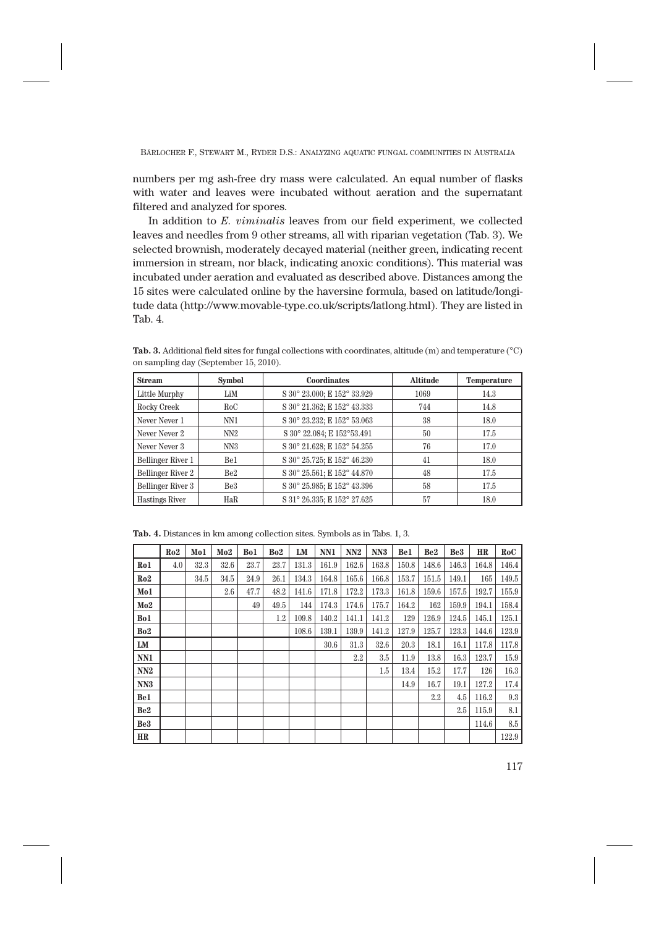numbers per mg ash-free dry mass were calculated. An equal number of flasks with water and leaves were incubated without aeration and the supernatant filtered and analyzed for spores.

In addition to *E. viminalis* leaves from our field experiment, we collected leaves and needles from 9 other streams, all with riparian vegetation (Tab. 3). We selected brownish, moderately decayed material (neither green, indicating recent immersion in stream, nor black, indicating anoxic conditions). This material was incubated under aeration and evaluated as described above. Distances among the 15 sites were calculated online by the haversine formula, based on latitude/longitude data (http://www.movable-type.co.uk/scripts/latlong.html). They are listed in Tab. 4.

| <b>Stream</b>            | <b>Symbol</b>   | Coordinates                 | <b>Altitude</b> | Temperature |
|--------------------------|-----------------|-----------------------------|-----------------|-------------|
| Little Murphy            | LiM             | S 30° 23.000; E 152° 33.929 | 1069            | 14.3        |
| Rocky Creek              | RoC             | S 30° 21.362; E 152° 43.333 | 744             | 14.8        |
| Never Never 1            | NN1             | S 30° 23.232; E 152° 53.063 | 38              | 18.0        |
| Never Never 2            | NN2             | S 30° 22.084; E 152°53.491  | 50              | 17.5        |
| Never Never 3            | NN <sub>3</sub> | S 30° 21.628; E 152° 54.255 | 76              | 17.0        |
| Bellinger River 1        | Be1             | S 30° 25.725; E 152° 46.230 | 41              | 18.0        |
| <b>Bellinger River 2</b> | Be <sub>2</sub> | S 30° 25.561; E 152° 44.870 | 48              | 17.5        |
| Bellinger River 3        | Be <sub>3</sub> | S 30° 25.985; E 152° 43.396 | 58              | 17.5        |
| <b>Hastings River</b>    | HaR             | S 31° 26.335; E 152° 27.625 | 57              | 18.0        |

**Tab. 3.** Additional field sites for fungal collections with coordinates, altitude (m) and temperature (°C) on sampling day (September 15, 2010).

**Tab. 4.** Distances in km among collection sites. Symbols as in Tabs. 1, 3.

|                 | Ro2 | Mo1  | Mo2  | Bo1  | Bo2  | LM    | NN1   | NN <sub>2</sub> | NN <sub>3</sub> | Be1   | Be <sub>2</sub> | Be3   | HR    | RoC   |
|-----------------|-----|------|------|------|------|-------|-------|-----------------|-----------------|-------|-----------------|-------|-------|-------|
| Ro1             | 4.0 | 32.3 | 32.6 | 23.7 | 23.7 | 131.3 | 161.9 | 162.6           | 163.8           | 150.8 | 148.6           | 146.3 | 164.8 | 146.4 |
| Ro2             |     | 34.5 | 34.5 | 24.9 | 26.1 | 134.3 | 164.8 | 165.6           | 166.8           | 153.7 | 151.5           | 149.1 | 165   | 149.5 |
| Mo1             |     |      | 2.6  | 47.7 | 48.2 | 141.6 | 171.8 | 172.2           | 173.3           | 161.8 | 159.6           | 157.5 | 192.7 | 155.9 |
| Mo2             |     |      |      | 49   | 49.5 | 144   | 174.3 | 174.6           | 175.7           | 164.2 | 162             | 159.9 | 194.1 | 158.4 |
| Bo1             |     |      |      |      | 1.2  | 109.8 | 140.2 | 141.1           | 141.2           | 129   | 126.9           | 124.5 | 145.1 | 125.1 |
| Bo2             |     |      |      |      |      | 108.6 | 139.1 | 139.9           | 141.2           | 127.9 | 125.7           | 123.3 | 144.6 | 123.9 |
| LM              |     |      |      |      |      |       | 30.6  | 31.3            | 32.6            | 20.3  | 18.1            | 16.1  | 117.8 | 117.8 |
| NN1             |     |      |      |      |      |       |       | 2.2             | 3.5             | 11.9  | 13.8            | 16.3  | 123.7 | 15.9  |
| NN2             |     |      |      |      |      |       |       |                 | 1.5             | 13.4  | 15.2            | 17.7  | 126   | 16.3  |
| NN3             |     |      |      |      |      |       |       |                 |                 | 14.9  | 16.7            | 19.1  | 127.2 | 17.4  |
| Be1             |     |      |      |      |      |       |       |                 |                 |       | 2.2             | 4.5   | 116.2 | 9.3   |
| Be <sub>2</sub> |     |      |      |      |      |       |       |                 |                 |       |                 | 2.5   | 115.9 | 8.1   |
| Be <sub>3</sub> |     |      |      |      |      |       |       |                 |                 |       |                 |       | 114.6 | 8.5   |
| HR              |     |      |      |      |      |       |       |                 |                 |       |                 |       |       | 122.9 |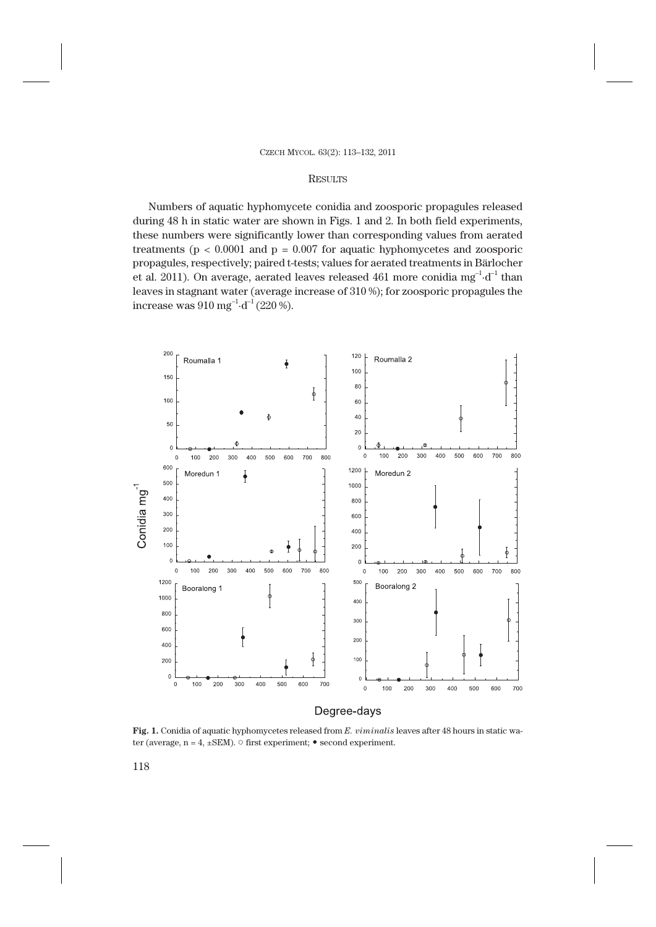### **RESULTS**

Numbers of aquatic hyphomycete conidia and zoosporic propagules released during 48 h in static water are shown in Figs. 1 and 2. In both field experiments, these numbers were significantly lower than corresponding values from aerated treatments ( $p < 0.0001$  and  $p = 0.007$  for aquatic hyphomycetes and zoosporic propagules, respectively; paired t-tests; values for aerated treatments in Bärlocher et al. 2011). On average, aerated leaves released 461 more conidia mg<sup>-1</sup>·d<sup>-1</sup> than leaves in stagnant water (average increase of 310 %); for zoosporic propagules the increase was  $910 \text{ mg}^{-1} \cdot d^{-1} (220 \text{ %}).$ 



**Fig. 1.** Conidia of aquatic hyphomycetes released from *E. viminalis* leaves after 48 hours in static water (average,  $n = 4$ ,  $\pm$ SEM).  $\circ$  first experiment;  $\bullet$  second experiment.

118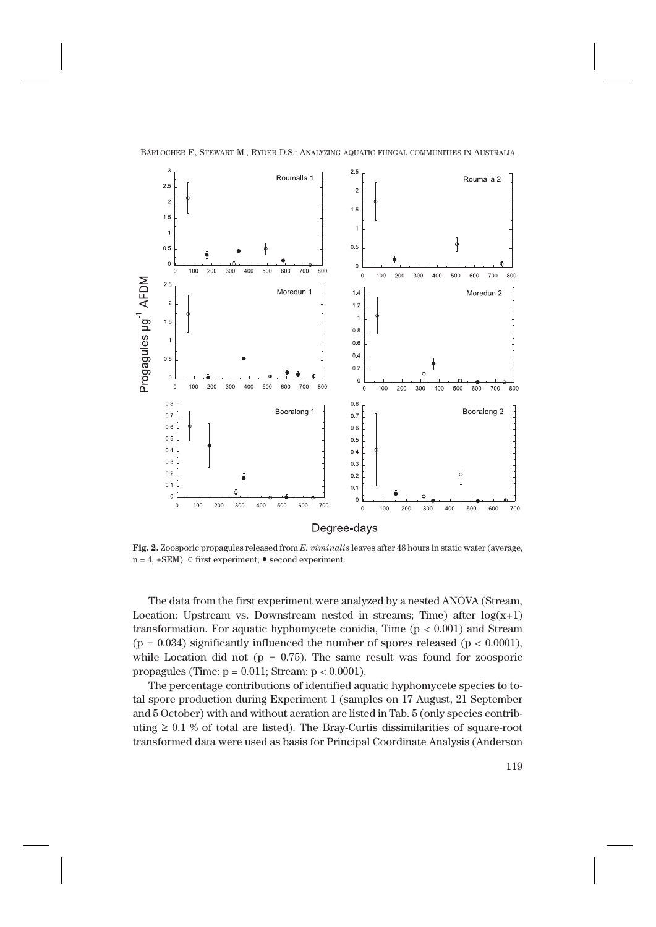

**Fig. 2.** Zoosporic propagules released from *E. viminalis* leaves after 48 hours in static water (average,  $n = 4$ ,  $\pm$ SEM).  $\circ$  first experiment;  $\bullet$  second experiment.

The data from the first experiment were analyzed by a nested ANOVA (Stream, Location: Upstream vs. Downstream nested in streams; Time) after  $log(x+1)$ transformation. For aquatic hyphomycete conidia, Time  $(p < 0.001)$  and Stream  $(p = 0.034)$  significantly influenced the number of spores released  $(p < 0.0001)$ , while Location did not ( $p = 0.75$ ). The same result was found for zoosporic propagules (Time:  $p = 0.011$ ; Stream:  $p < 0.0001$ ).

The percentage contributions of identified aquatic hyphomycete species to total spore production during Experiment 1 (samples on 17 August, 21 September and 5 October) with and without aeration are listed in Tab. 5 (only species contributing  $\geq 0.1$  % of total are listed). The Bray-Curtis dissimilarities of square-root transformed data were used as basis for Principal Coordinate Analysis (Anderson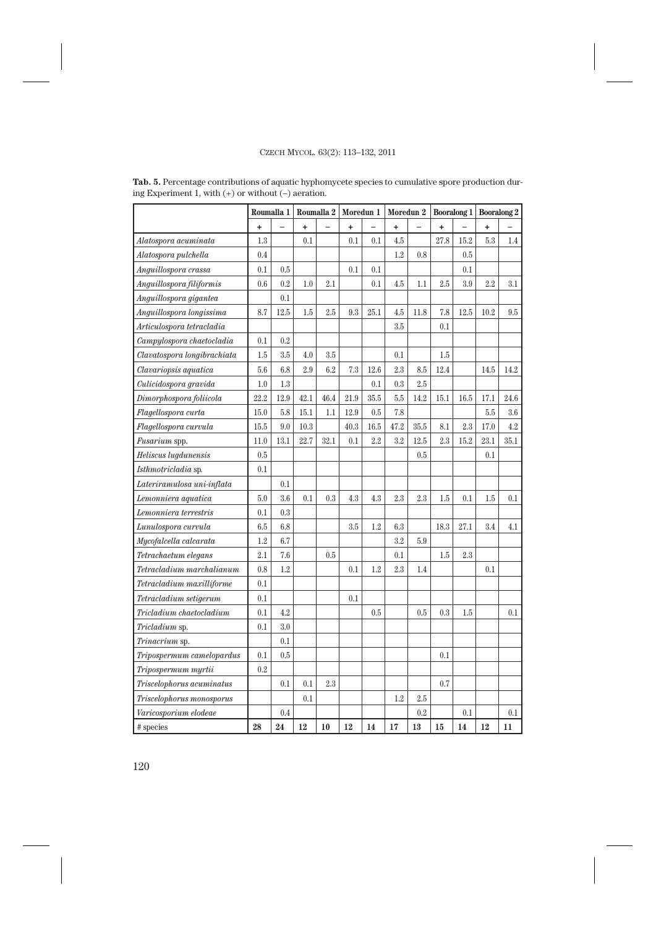|                             |           | Roumalla 1 |      | Roumalla 2 | Moredun 1 |          | Moredun 2 |      | <b>Booralong 1</b> |      | <b>Booralong 2</b> |      |
|-----------------------------|-----------|------------|------|------------|-----------|----------|-----------|------|--------------------|------|--------------------|------|
|                             | ÷         |            | +    |            | ÷         |          | ÷         |      | ÷                  |      | +                  |      |
| Alatospora acuminata        | 1.3       |            | 0.1  |            | 0.1       | 0.1      | 4.5       |      | 27.8               | 15.2 | 5.3                | 1.4  |
| Alatospora pulchella        | 0.4       |            |      |            |           |          | 1.2       | 0.8  |                    | 0.5  |                    |      |
| Anguillospora crassa        | 0.1       | 0.5        |      |            | 0.1       | 0.1      |           |      |                    | 0.1  |                    |      |
| Anguillospora filiformis    | 0.6       | 0.2        | 1.0  | 2.1        |           | 0.1      | 4.5       | 1.1  | 2.5                | 3.9  | 2.2                | 3.1  |
| Anguillospora gigantea      |           | 0.1        |      |            |           |          |           |      |                    |      |                    |      |
| Anguillospora longissima    | 8.7       | 12.5       | 1.5  | 2.5        | 9.3       | 25.1     | 4.5       | 11.8 | 7.8                | 12.5 | 10.2               | 9.5  |
| Articulospora tetracladia   |           |            |      |            |           |          | 3.5       |      | $0.1\,$            |      |                    |      |
| Campylospora chaetocladia   | 0.1       | 0.2        |      |            |           |          |           |      |                    |      |                    |      |
| Clavatospora longibrachiata | 1.5       | 3.5        | 4.0  | 3.5        |           |          | 0.1       |      | 1.5                |      |                    |      |
| Clavariopsis aquatica       | 5.6       | 6.8        | 2.9  | 6.2        | 7.3       | 12.6     | $2.3\,$   | 8.5  | 12.4               |      | 14.5               | 14.2 |
| Culicidospora gravida       | 1.0       | 1.3        |      |            |           | 0.1      | 0.3       | 2.5  |                    |      |                    |      |
| Dimorphospora foliicola     | 22.2      | 12.9       | 42.1 | 46.4       | 21.9      | 35.5     | 5.5       | 14.2 | 15.1               | 16.5 | 17.1               | 24.6 |
| Flagellospora curta         | 15.0      | 5.8        | 15.1 | 1.1        | 12.9      | 0.5      | 7.8       |      |                    |      | 5.5                | 3.6  |
| Flagellospora curvula       | 15.5      | 9.0        | 10.3 |            | 40.3      | $16.5\,$ | 47.2      | 35.5 | 8.1                | 2.3  | 17.0               | 4.2  |
| Fusarium spp.               | 11.0      | 13.1       | 22.7 | 32.1       | 0.1       | 2.2      | 3.2       | 12.5 | 2.3                | 15.2 | 23.1               | 35.1 |
| Heliscus lugdunensis        | 0.5       |            |      |            |           |          |           | 0.5  |                    |      | 0.1                |      |
| Isthmotricladia sp.         | 0.1       |            |      |            |           |          |           |      |                    |      |                    |      |
| Lateriramulosa uni-inflata  |           | 0.1        |      |            |           |          |           |      |                    |      |                    |      |
| Lemonniera aquatica         | 5.0       | 3.6        | 0.1  | 0.3        | 4.3       | 4.3      | 2.3       | 2.3  | 1.5                | 0.1  | 1.5                | 0.1  |
| Lemonniera terrestris       | 0.1       | 0.3        |      |            |           |          |           |      |                    |      |                    |      |
| Lunulospora curvula         | 6.5       | 6.8        |      |            | 3.5       | $1.2\,$  | 6.3       |      | 18.3               | 27.1 | 3.4                | 4.1  |
| Mycofalcella calcarata      | 1.2       | 6.7        |      |            |           |          | 3.2       | 5.9  |                    |      |                    |      |
| Tetrachaetum elegans        | 2.1       | 7.6        |      | 0.5        |           |          | 0.1       |      | 1.5                | 2.3  |                    |      |
| Tetracladium marchalianum   | 0.8       | 1.2        |      |            | 0.1       | $1.2\,$  | 2.3       | 1.4  |                    |      | 0.1                |      |
| Tetracladium maxilliforme   | 0.1       |            |      |            |           |          |           |      |                    |      |                    |      |
| Tetracladium setigerum      | 0.1       |            |      |            | 0.1       |          |           |      |                    |      |                    |      |
| Tricladium chaetocladium    | 0.1       | 4.2        |      |            |           | 0.5      |           | 0.5  | 0.3                | 1.5  |                    | 0.1  |
| Tricladium sp.              | 0.1       | $3.0\,$    |      |            |           |          |           |      |                    |      |                    |      |
| Trinacrium sp.              |           | 0.1        |      |            |           |          |           |      |                    |      |                    |      |
| Tripospermum camelopardus   | 0.1       | $0.5\,$    |      |            |           |          |           |      | 0.1                |      |                    |      |
| Tripospermum myrtii         | $\rm 0.2$ |            |      |            |           |          |           |      |                    |      |                    |      |
| Triscelophorus acuminatus   |           | 0.1        | 0.1  | 2.3        |           |          |           |      | 0.7                |      |                    |      |
| Triscelophorus monosporus   |           |            | 0.1  |            |           |          | $1.2\,$   | 2.5  |                    |      |                    |      |
| Varicosporium elodeae       |           | 0.4        |      |            |           |          |           | 0.2  |                    | 0.1  |                    | 0.1  |
| # species                   | 28        | 24         | 12   | 10         | 12        | 14       | 17        | 13   | 15                 | 14   | 12                 | 11   |

**Tab. 5.** Percentage contributions of aquatic hyphomycete species to cumulative spore production during Experiment 1, with (+) or without (–) aeration.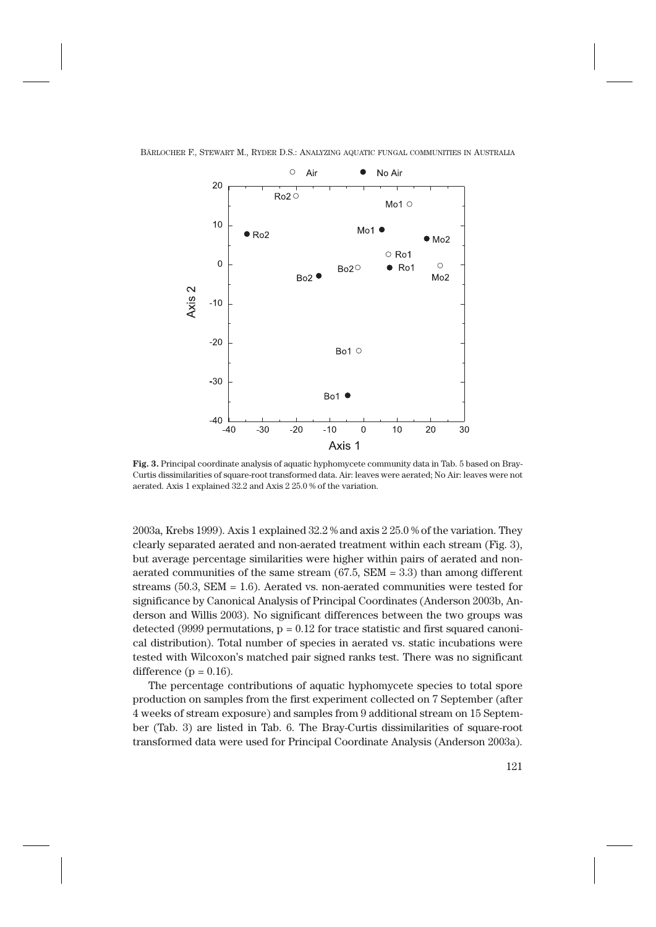

**Fig. 3.** Principal coordinate analysis of aquatic hyphomycete community data in Tab. 5 based on Bray-Curtis dissimilarities of square-root transformed data. Air: leaves were aerated; No Air: leaves were not aerated. Axis 1 explained 32.2 and Axis 2 25.0 % of the variation.

2003a, Krebs 1999). Axis 1 explained 32.2 % and axis 2 25.0 % of the variation. They clearly separated aerated and non-aerated treatment within each stream (Fig. 3), but average percentage similarities were higher within pairs of aerated and nonaerated communities of the same stream  $(67.5, SEM = 3.3)$  than among different streams  $(50.3, SEM = 1.6)$ . Aerated vs. non-aerated communities were tested for significance by Canonical Analysis of Principal Coordinates (Anderson 2003b, Anderson and Willis 2003). No significant differences between the two groups was detected (9999 permutations,  $p = 0.12$  for trace statistic and first squared canonical distribution). Total number of species in aerated vs. static incubations were tested with Wilcoxon's matched pair signed ranks test. There was no significant difference ( $p = 0.16$ ).

The percentage contributions of aquatic hyphomycete species to total spore production on samples from the first experiment collected on 7 September (after 4 weeks of stream exposure) and samples from 9 additional stream on 15 September (Tab. 3) are listed in Tab. 6. The Bray-Curtis dissimilarities of square-root transformed data were used for Principal Coordinate Analysis (Anderson 2003a).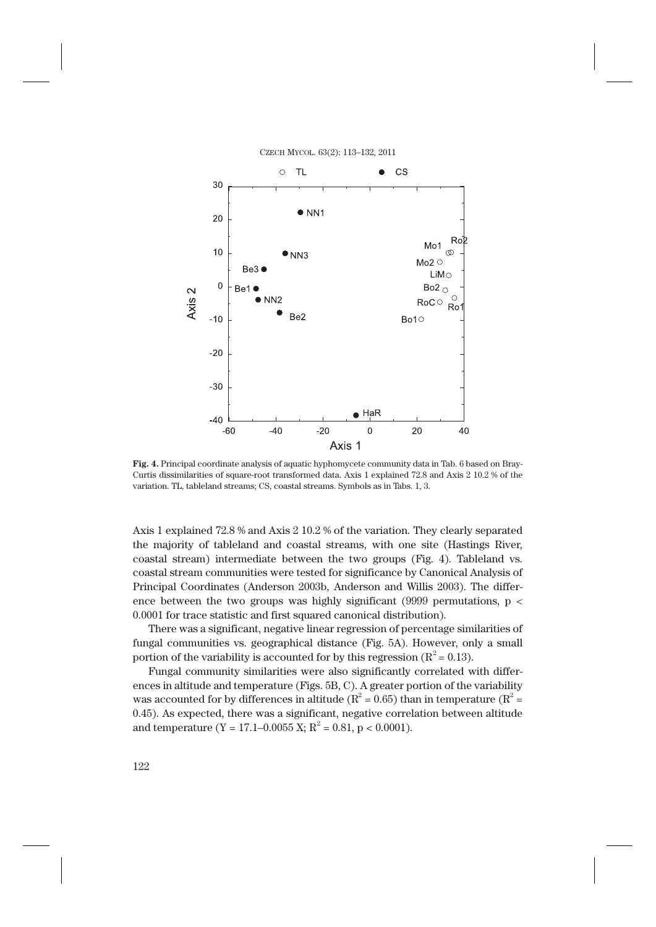

**Fig. 4.** Principal coordinate analysis of aquatic hyphomycete community data in Tab. 6 based on Bray-Curtis dissimilarities of square-root transformed data. Axis 1 explained 72.8 and Axis 2 10.2 % of the variation. TL, tableland streams; CS, coastal streams. Symbols as in Tabs. 1, 3.

Axis 1 explained 72.8 % and Axis 2 10.2 % of the variation. They clearly separated the majority of tableland and coastal streams, with one site (Hastings River, coastal stream) intermediate between the two groups (Fig. 4). Tableland vs. coastal stream communities were tested for significance by Canonical Analysis of Principal Coordinates (Anderson 2003b, Anderson and Willis 2003). The difference between the two groups was highly significant (9999 permutations,  $p \lt$ 0.0001 for trace statistic and first squared canonical distribution).

There was a significant, negative linear regression of percentage similarities of fungal communities vs. geographical distance (Fig. 5A). However, only a small portion of the variability is accounted for by this regression ( $R^2$  = 0.13).

Fungal community similarities were also significantly correlated with differences in altitude and temperature (Figs. 5B, C). A greater portion of the variability was accounted for by differences in altitude ( $R^2 = 0.65$ ) than in temperature ( $R^2 = 0.65$ ) 0.45). As expected, there was a significant, negative correlation between altitude and temperature (Y = 17.1–0.0055 X; R<sup>2</sup> = 0.81, p < 0.0001).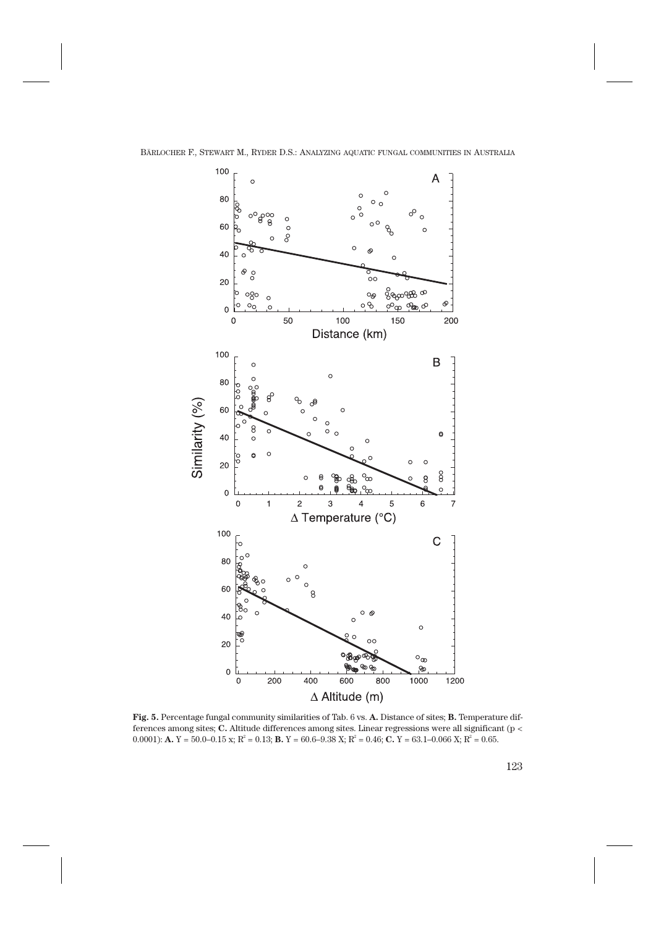

**Fig. 5.** Percentage fungal community similarities of Tab. 6 vs. **A.** Distance of sites; **B.** Temperature differences among sites; **C.** Altitude differences among sites. Linear regressions were all significant (p <  $(0.0001)$ : **A.**  $Y = 50.0 - 0.15$  x;  $R^2 = 0.13$ ; **B.**  $Y = 60.6 - 9.38$  X;  $R^2 = 0.46$ ; **C.**  $Y = 63.1 - 0.066$  X;  $R^2 = 0.65$ .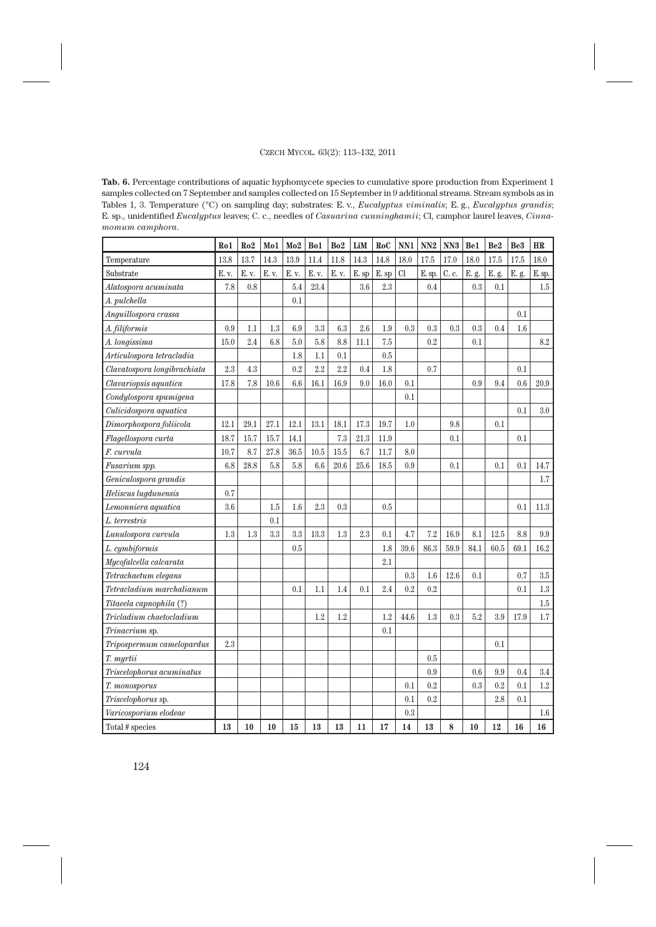**Tab. 6.** Percentage contributions of aquatic hyphomycete species to cumulative spore production from Experiment 1 samples collected on 7 September and samples collected on 15 September in 9 additional streams. Stream symbols as in Tables 1, 3. Temperature (°C) on sampling day; substrates: E. v., *Eucalyptus viminalis*; E. g., *Eucalyptus grandis*; E. sp., unidentified *Eucalyptus* leaves; C. c., needles of *Casuarina cunninghamii*; Cl, camphor laurel leaves, *Cinnamomum camphora*.

|                             | Ro1   | Ro2   | Mo1     | Mo2   | Bo1   | Bo <sub>2</sub> | LiM   | RoC   | NN1       | NN2    | NN <sub>3</sub> | Be1   | Be <sub>2</sub> | <b>Be3</b> | <b>HR</b> |
|-----------------------------|-------|-------|---------|-------|-------|-----------------|-------|-------|-----------|--------|-----------------|-------|-----------------|------------|-----------|
| Temperature                 | 13.8  | 13.7  | 14.3    | 13.9  | 11.4  | 11.8            | 14.3  | 14.8  | 18.0      | 17.5   | 17.0            | 18.0  | 17.5            | 17.5       | 18.0      |
| Substrate                   | E. v. | E. v. | E. v.   | E. v. | E. v. | E. v.           | E. sp | E. sp | <b>Cl</b> | E. sp. | C. c.           | E. g. | E. g.           | E. g.      | $E$ . sp. |
| Alatospora acuminata        | 7.8   | 0.8   |         | 5.4   | 23.4  |                 | 3.6   | 2.3   |           | 0.4    |                 | 0.3   | 0.1             |            | 1.5       |
| A. pulchella                |       |       |         | 0.1   |       |                 |       |       |           |        |                 |       |                 |            |           |
| Anguillospora crassa        |       |       |         |       |       |                 |       |       |           |        |                 |       |                 | 0.1        |           |
| A. filiformis               | 0.9   | 1.1   | 1.3     | 6.9   | 3.3   | 6.3             | 2.6   | 1.9   | 0.3       | 0.3    | 0.3             | 0.3   | 0.4             | 1.6        |           |
| A. longissima               | 15.0  | 2.4   | 6.8     | 5.0   | 5.8   | 8.8             | 11.1  | 7.5   |           | 0.2    |                 | 0.1   |                 |            | 8.2       |
| Articulospora tetracladia   |       |       |         | 1.8   | 1.1   | 0.1             |       | 0.5   |           |        |                 |       |                 |            |           |
| Clavatospora longibrachiata | 2.3   | 4.3   |         | 0.2   | 2.2   | 2.2             | 0.4   | 1.8   |           | 0.7    |                 |       |                 | 0.1        |           |
| Clavariopsis aquatica       | 17.8  | 7.8   | 10.6    | 6.6   | 16.1  | 16.9            | 9.0   | 16.0  | 0.1       |        |                 | 0.9   | 9.4             | 0.6        | 20.9      |
| Condylospora spumigena      |       |       |         |       |       |                 |       |       | 0.1       |        |                 |       |                 |            |           |
| Culicidospora aquatica      |       |       |         |       |       |                 |       |       |           |        |                 |       |                 | 0.1        | 3.0       |
| Dimorphospora foliicola     | 12.1  | 29.1  | 27.1    | 12.1  | 13.1  | 18.1            | 17.3  | 19.7  | 1.0       |        | 9.8             |       | 0.1             |            |           |
| Flagellospora curta         | 18.7  | 15.7  | 15.7    | 14.1  |       | 7.3             | 21.3  | 11.9  |           |        | 0.1             |       |                 | 0.1        |           |
| F. curvula                  | 10.7  | 8.7   | 27.8    | 36.5  | 10.5  | 15.5            | 6.7   | 11.7  | 8.0       |        |                 |       |                 |            |           |
| Fusarium spp.               | 6.8   | 28.8  | 5.8     | 5.8   | 6.6   | 20.6            | 25.6  | 18.5  | 0.9       |        | 0.1             |       | 0.1             | 0.1        | 14.7      |
| Geniculospora grandis       |       |       |         |       |       |                 |       |       |           |        |                 |       |                 |            | 1.7       |
| Heliscus lugdunensis        | 0.7   |       |         |       |       |                 |       |       |           |        |                 |       |                 |            |           |
| Lemonniera aquatica         | 3.6   |       | 1.5     | 1.6   | 2.3   | 0.3             |       | 0.5   |           |        |                 |       |                 | 0.1        | 11.3      |
| L. terrestris               |       |       | 0.1     |       |       |                 |       |       |           |        |                 |       |                 |            |           |
| Lunulospora curvula         | 1.3   | 1.3   | $3.3\,$ | 3.3   | 13.3  | 1.3             | 2.3   | 0.1   | 4.7       | 7.2    | 16.9            | 8.1   | 12.5            | 8.8        | 9.9       |
| L. cymbiformis              |       |       |         | 0.5   |       |                 |       | 1.8   | 39.6      | 86.3   | 59.9            | 84.1  | 60.5            | 69.1       | 16.2      |
| Mycofalcella calcarata      |       |       |         |       |       |                 |       | 2.1   |           |        |                 |       |                 |            |           |
| Tetrachaetum elegans        |       |       |         |       |       |                 |       |       | 0.3       | 1.6    | 12.6            | 0.1   |                 | 0.7        | $3.5\,$   |
| Tetracladium marchalianum   |       |       |         | 0.1   | 1.1   | 1.4             | 0.1   | 2.4   | 0.2       | 0.2    |                 |       |                 | 0.1        | 1.3       |
| Titaeela capnophila (?)     |       |       |         |       |       |                 |       |       |           |        |                 |       |                 |            | 1.5       |
| Tricladium chaetocladium    |       |       |         |       | 1.2   | 1.2             |       | 1.2   | 44.6      | 1.3    | 0.3             | 5.2   | 3.9             | 17.9       | 1.7       |
| Trinacrium sp.              |       |       |         |       |       |                 |       | 0.1   |           |        |                 |       |                 |            |           |
| Tripospermum camelopardus   | 2.3   |       |         |       |       |                 |       |       |           |        |                 |       | 0.1             |            |           |
| T. myrtii                   |       |       |         |       |       |                 |       |       |           | 0.5    |                 |       |                 |            |           |
| Triscelophorus acuminatus   |       |       |         |       |       |                 |       |       |           | 0.9    |                 | 0.6   | 9.9             | 0.4        | 3.4       |
| T. monosporus               |       |       |         |       |       |                 |       |       | 0.1       | 0.2    |                 | 0.3   | 0.2             | 0.1        | 1.2       |
| Triscelophorus sp.          |       |       |         |       |       |                 |       |       | 0.1       | 0.2    |                 |       | 2.8             | 0.1        |           |
| Varicosporium elodeae       |       |       |         |       |       |                 |       |       | 0.3       |        |                 |       |                 |            | 1.6       |
| Total # species             | 13    | 10    | 10      | 15    | 13    | 13              | 11    | 17    | 14        | 13     | 8               | 10    | 12              | 16         | 16        |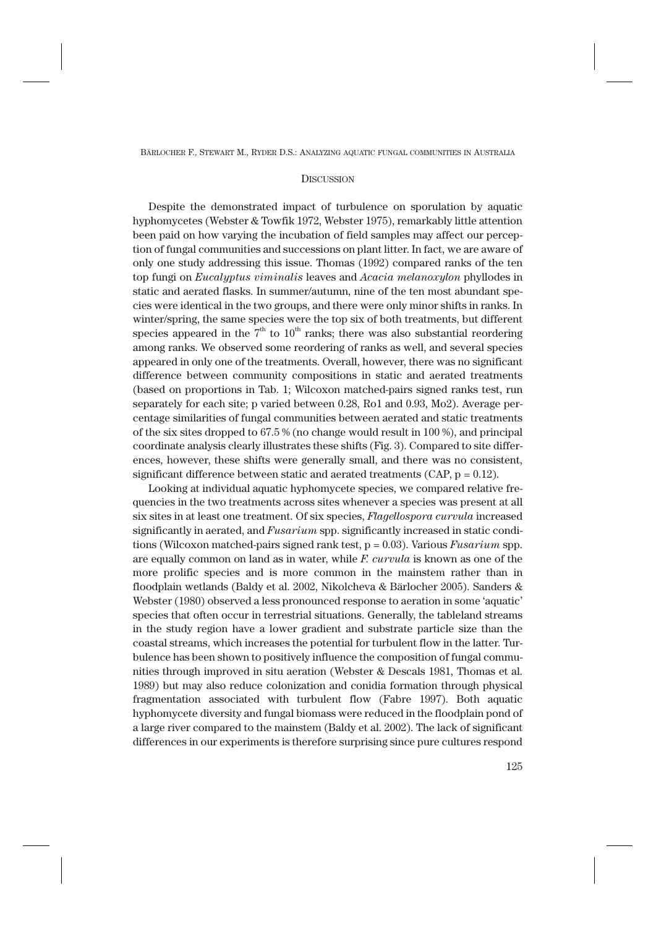## **DISCUSSION**

Despite the demonstrated impact of turbulence on sporulation by aquatic hyphomycetes (Webster & Towfik 1972, Webster 1975), remarkably little attention been paid on how varying the incubation of field samples may affect our perception of fungal communities and successions on plant litter. In fact, we are aware of only one study addressing this issue. Thomas (1992) compared ranks of the ten top fungi on *Eucalyptus viminalis* leaves and *Acacia melanoxylon* phyllodes in static and aerated flasks. In summer/autumn, nine of the ten most abundant species were identical in the two groups, and there were only minor shifts in ranks. In winter/spring, the same species were the top six of both treatments, but different species appeared in the  $7<sup>th</sup>$  to  $10<sup>th</sup>$  ranks; there was also substantial reordering among ranks. We observed some reordering of ranks as well, and several species appeared in only one of the treatments. Overall, however, there was no significant difference between community compositions in static and aerated treatments (based on proportions in Tab. 1; Wilcoxon matched-pairs signed ranks test, run separately for each site; p varied between 0.28, Ro1 and 0.93, Mo2). Average percentage similarities of fungal communities between aerated and static treatments of the six sites dropped to 67.5 % (no change would result in 100 %), and principal coordinate analysis clearly illustrates these shifts (Fig. 3). Compared to site differences, however, these shifts were generally small, and there was no consistent, significant difference between static and aerated treatments (CAP,  $p = 0.12$ ).

Looking at individual aquatic hyphomycete species, we compared relative frequencies in the two treatments across sites whenever a species was present at all six sites in at least one treatment. Of six species, *Flagellospora curvula* increased significantly in aerated, and *Fusarium* spp. significantly increased in static conditions (Wilcoxon matched-pairs signed rank test, p = 0.03). Various *Fusarium* spp. are equally common on land as in water, while *F. curvula* is known as one of the more prolific species and is more common in the mainstem rather than in floodplain wetlands (Baldy et al. 2002, Nikolcheva & Bärlocher 2005). Sanders & Webster (1980) observed a less pronounced response to aeration in some 'aquatic' species that often occur in terrestrial situations. Generally, the tableland streams in the study region have a lower gradient and substrate particle size than the coastal streams, which increases the potential for turbulent flow in the latter. Turbulence has been shown to positively influence the composition of fungal communities through improved in situ aeration (Webster & Descals 1981, Thomas et al. 1989) but may also reduce colonization and conidia formation through physical fragmentation associated with turbulent flow (Fabre 1997). Both aquatic hyphomycete diversity and fungal biomass were reduced in the floodplain pond of a large river compared to the mainstem (Baldy et al. 2002). The lack of significant differences in our experiments is therefore surprising since pure cultures respond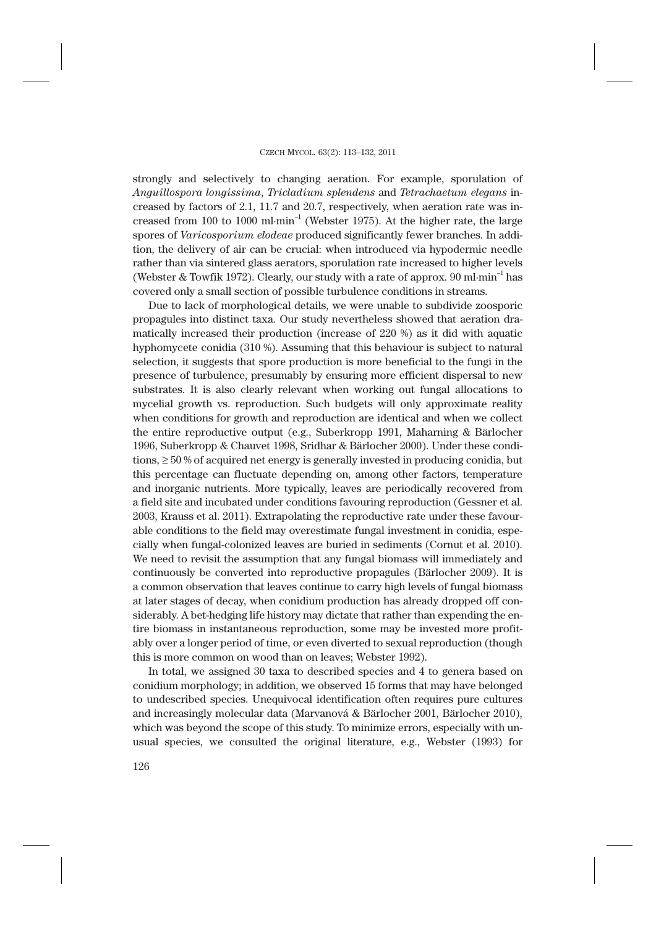strongly and selectively to changing aeration. For example, sporulation of *Anguillospora longissima*, *Tricladium splendens* and *Tetrachaetum elegans* increased by factors of 2.1, 11.7 and 20.7, respectively, when aeration rate was increased from 100 to 1000  $\text{ml·min}^{-1}$  (Webster 1975). At the higher rate, the large spores of *Varicosporium elodeae* produced significantly fewer branches. In addition, the delivery of air can be crucial: when introduced via hypodermic needle rather than via sintered glass aerators, sporulation rate increased to higher levels (Webster & Towfik 1972). Clearly, our study with a rate of approx.  $90 \text{ ml}\cdot\text{min}^{-1}$  has covered only a small section of possible turbulence conditions in streams.

Due to lack of morphological details, we were unable to subdivide zoosporic propagules into distinct taxa. Our study nevertheless showed that aeration dramatically increased their production (increase of 220 %) as it did with aquatic hyphomycete conidia (310 %). Assuming that this behaviour is subject to natural selection, it suggests that spore production is more beneficial to the fungi in the presence of turbulence, presumably by ensuring more efficient dispersal to new substrates. It is also clearly relevant when working out fungal allocations to mycelial growth vs. reproduction. Such budgets will only approximate reality when conditions for growth and reproduction are identical and when we collect the entire reproductive output (e.g., Suberkropp 1991, Maharning & Bärlocher 1996, Suberkropp & Chauvet 1998, Sridhar & Bärlocher 2000). Under these conditions,  $\geq 50$  % of acquired net energy is generally invested in producing conidia, but this percentage can fluctuate depending on, among other factors, temperature and inorganic nutrients. More typically, leaves are periodically recovered from a field site and incubated under conditions favouring reproduction (Gessner et al. 2003, Krauss et al. 2011). Extrapolating the reproductive rate under these favourable conditions to the field may overestimate fungal investment in conidia, especially when fungal-colonized leaves are buried in sediments (Cornut et al. 2010). We need to revisit the assumption that any fungal biomass will immediately and continuously be converted into reproductive propagules (Bärlocher 2009). It is a common observation that leaves continue to carry high levels of fungal biomass at later stages of decay, when conidium production has already dropped off considerably. A bet-hedging life history may dictate that rather than expending the entire biomass in instantaneous reproduction, some may be invested more profitably over a longer period of time, or even diverted to sexual reproduction (though this is more common on wood than on leaves; Webster 1992).

In total, we assigned 30 taxa to described species and 4 to genera based on conidium morphology; in addition, we observed 15 forms that may have belonged to undescribed species. Unequivocal identification often requires pure cultures and increasingly molecular data (Marvanová & Bärlocher 2001, Bärlocher 2010), which was beyond the scope of this study. To minimize errors, especially with unusual species, we consulted the original literature, e.g., Webster (1993) for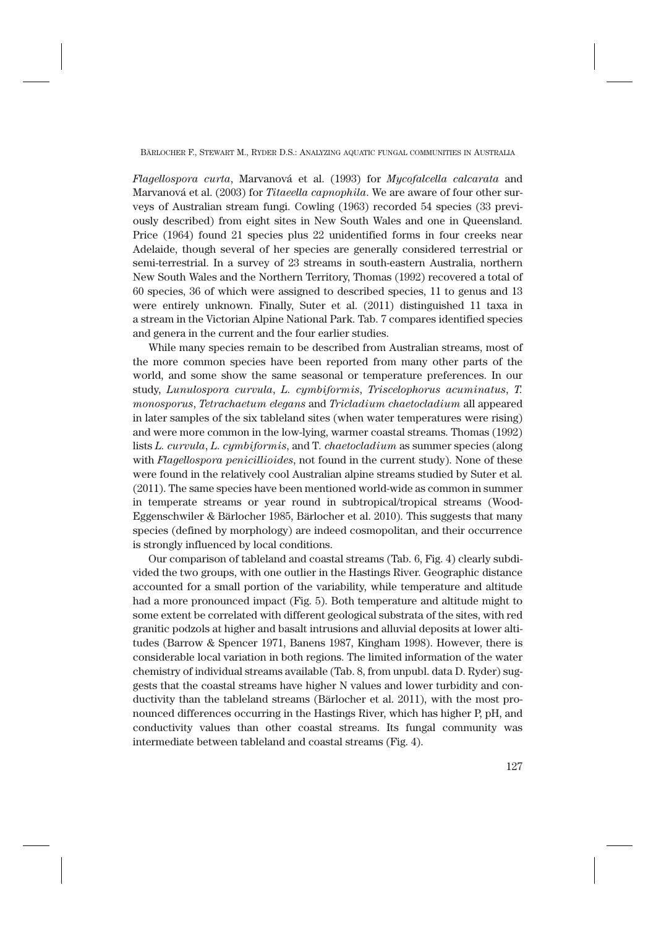*Flagellospora curta*, Marvanová et al. (1993) for *Mycofalcella calcarata* and Marvanová et al. (2003) for *Titaeella capnophila*. We are aware of four other surveys of Australian stream fungi. Cowling (1963) recorded 54 species (33 previously described) from eight sites in New South Wales and one in Queensland. Price (1964) found 21 species plus 22 unidentified forms in four creeks near Adelaide, though several of her species are generally considered terrestrial or semi-terrestrial. In a survey of 23 streams in south-eastern Australia, northern New South Wales and the Northern Territory, Thomas (1992) recovered a total of 60 species, 36 of which were assigned to described species, 11 to genus and 13 were entirely unknown. Finally, Suter et al. (2011) distinguished 11 taxa in a stream in the Victorian Alpine National Park. Tab. 7 compares identified species and genera in the current and the four earlier studies.

While many species remain to be described from Australian streams, most of the more common species have been reported from many other parts of the world, and some show the same seasonal or temperature preferences. In our study, *Lunulospora curvula*, *L. cymbiformis*, *Triscelophorus acuminatus*, *T. monosporus*, *Tetrachaetum elegans* and *Tricladium chaetocladium* all appeared in later samples of the six tableland sites (when water temperatures were rising) and were more common in the low-lying, warmer coastal streams. Thomas (1992) lists *L. curvula*, *L. cymbiformis*, and T*. chaetocladium* as summer species (along with *Flagellospora penicillioides*, not found in the current study). None of these were found in the relatively cool Australian alpine streams studied by Suter et al. (2011). The same species have been mentioned world-wide as common in summer in temperate streams or year round in subtropical/tropical streams (Wood-Eggenschwiler & Bärlocher 1985, Bärlocher et al. 2010). This suggests that many species (defined by morphology) are indeed cosmopolitan, and their occurrence is strongly influenced by local conditions.

Our comparison of tableland and coastal streams (Tab. 6, Fig. 4) clearly subdivided the two groups, with one outlier in the Hastings River. Geographic distance accounted for a small portion of the variability, while temperature and altitude had a more pronounced impact (Fig. 5). Both temperature and altitude might to some extent be correlated with different geological substrata of the sites, with red granitic podzols at higher and basalt intrusions and alluvial deposits at lower altitudes (Barrow & Spencer 1971, Banens 1987, Kingham 1998). However, there is considerable local variation in both regions. The limited information of the water chemistry of individual streams available (Tab. 8, from unpubl. data D. Ryder) suggests that the coastal streams have higher N values and lower turbidity and conductivity than the tableland streams (Bärlocher et al. 2011), with the most pronounced differences occurring in the Hastings River, which has higher P, pH, and conductivity values than other coastal streams. Its fungal community was intermediate between tableland and coastal streams (Fig. 4).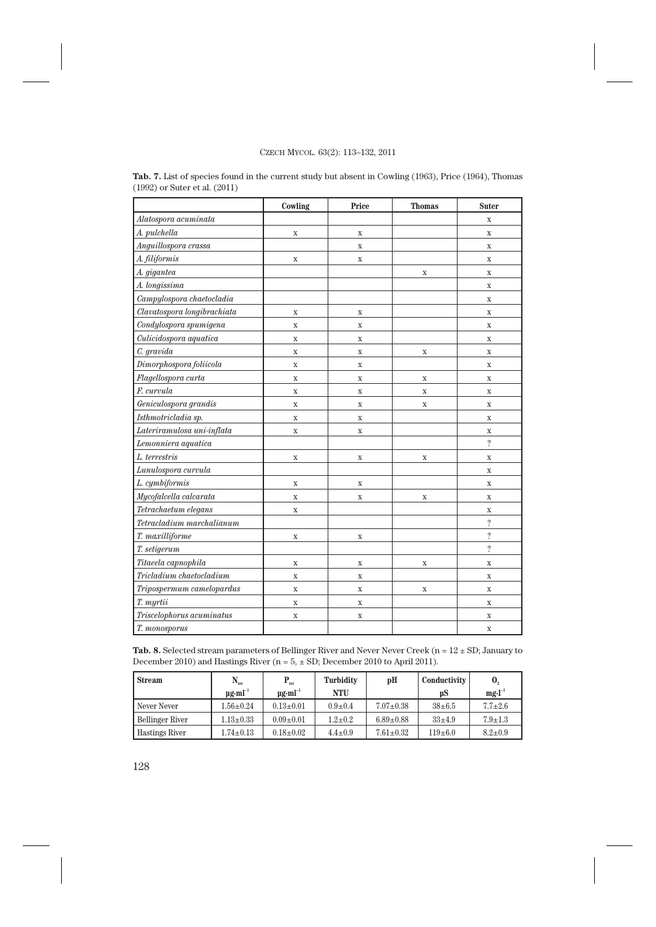|                             | Cowling     | Price       | <b>Thomas</b> | <b>Suter</b>   |
|-----------------------------|-------------|-------------|---------------|----------------|
| Alatospora acuminata        |             |             |               | $\mathbf X$    |
| A. pulchella                | $\mathbf X$ | $\mathbf X$ |               | $\mathbf X$    |
| Anguillospora crassa        |             | $\mathbf X$ |               | $\mathbf X$    |
| A. filiformis               | $\mathbf X$ | $\mathbf X$ |               | $\mathbf X$    |
| A. gigantea                 |             |             | X             | $\mathbf x$    |
| A. longissima               |             |             |               | $\mathbf X$    |
| Campylospora chaetocladia   |             |             |               | X              |
| Clavatospora longibrachiata | $\mathbf X$ | $\mathbf X$ |               | $\mathbf X$    |
| Condylospora spumigena      | $\mathbf X$ | $\mathbf X$ |               | $\mathbf x$    |
| Culicidospora aquatica      | $\mathbf X$ | $\mathbf X$ |               | $\mathbf X$    |
| C. gravida                  | $\mathbf X$ | $\mathbf X$ | $\mathbf X$   | X              |
| Dimorphospora foliicola     | $\mathbf X$ | $\mathbf X$ |               | $\mathbf X$    |
| Flagellospora curta         | $\mathbf X$ | $\mathbf x$ | $\mathbf X$   | $\mathbf X$    |
| F. curvula                  | $\mathbf X$ | $\mathbf X$ | $\mathbf X$   | $\mathbf X$    |
| Geniculospora grandis       | $\mathbf X$ | $\mathbf X$ | $\mathbf X$   | $\mathbf X$    |
| Isthmotricladia sp.         | $\mathbf X$ | $\mathbf X$ |               | $\mathbf X$    |
| Lateriramulosa uni-inflata  | $\mathbf X$ | $\mathbf X$ |               | $\mathbf X$    |
| Lemonniera aquatica         |             |             |               | $\ddot{?}$     |
| L. terrestris               | $\mathbf X$ | $\mathbf X$ | $\mathbf X$   | $\mathbf X$    |
| Lunulospora curvula         |             |             |               | $\overline{X}$ |
| L. cymbiformis              | $\mathbf X$ | $\mathbf X$ |               | $\mathbf x$    |
| Mycofalcella calcarata      | $\mathbf X$ | $\mathbf X$ | X             | X              |
| Tetrachaetum elegans        | $\mathbf X$ |             |               | $\mathbf X$    |
| Tetracladium marchalianum   |             |             |               | $\ddot{?}$     |
| T. maxilliforme             | $\mathbf X$ | $\mathbf X$ |               | $\ddot{?}$     |
| T. setigerum                |             |             |               | $\ddot{?}$     |
| Titaeela capnophila         | $\mathbf X$ | $\mathbf X$ | $\mathbf X$   | $\mathbf X$    |
| Tricladium chaetocladium    | $\mathbf X$ | $\mathbf x$ |               | $\mathbf x$    |
| Tripospermum camelopardus   | $\mathbf X$ | $\mathbf X$ | $\mathbf X$   | $\mathbf X$    |
| T. myrtii                   | $\mathbf X$ | $\mathbf X$ |               | $\mathbf X$    |
| Triscelophorus acuminatus   | $\mathbf X$ | $\mathbf X$ |               | $\mathbf X$    |
| T. monosporus               |             |             |               | $\mathbf X$    |

**Tab. 7.** List of species found in the current study but absent in Cowling (1963), Price (1964), Thomas (1992) or Suter et al. (2011)

Tab. 8. Selected stream parameters of Bellinger River and Never Never Creek (n =  $12 \pm SD$ ; January to December 2010) and Hastings River ( $n = 5, \pm SD$ ; December 2010 to April 2011).

| <b>Stream</b>         | $N_{_{\rm tot}}$<br>$\mathbf{u}\mathbf{e}\cdot\mathbf{m}\mathbf{l}^{-1}$ | $\mathbf{P}_{_{\text{tot}}}$<br>$\mathbf{u}\mathbf{e}\cdot\mathbf{m}\mathbf{l}^{-1}$ | Turbidity<br>NTU | pH              | Conductivity<br>uS | $\mathbf{0}_{2}$<br>$mg·l^{-1}$ |
|-----------------------|--------------------------------------------------------------------------|--------------------------------------------------------------------------------------|------------------|-----------------|--------------------|---------------------------------|
| Never Never           | $1.56 \pm 0.24$                                                          | $0.13 \pm 0.01$                                                                      | $0.9 \pm 0.4$    | $7.07 \pm 0.38$ | $38 + 6.5$         | $7.7 + 2.6$                     |
| Bellinger River       | $1.13 \pm 0.33$                                                          | $0.09 \pm 0.01$                                                                      | $1.2 + 0.2$      | $6.89 \pm 0.88$ | $33+4.9$           | $7.9 \pm 1.3$                   |
| <b>Hastings River</b> | $1.74 \pm 0.13$                                                          | $0.18 \pm 0.02$                                                                      | $4.4 \pm 0.9$    | $7.61 \pm 0.32$ | $119+6.0$          | $8.2 \pm 0.9$                   |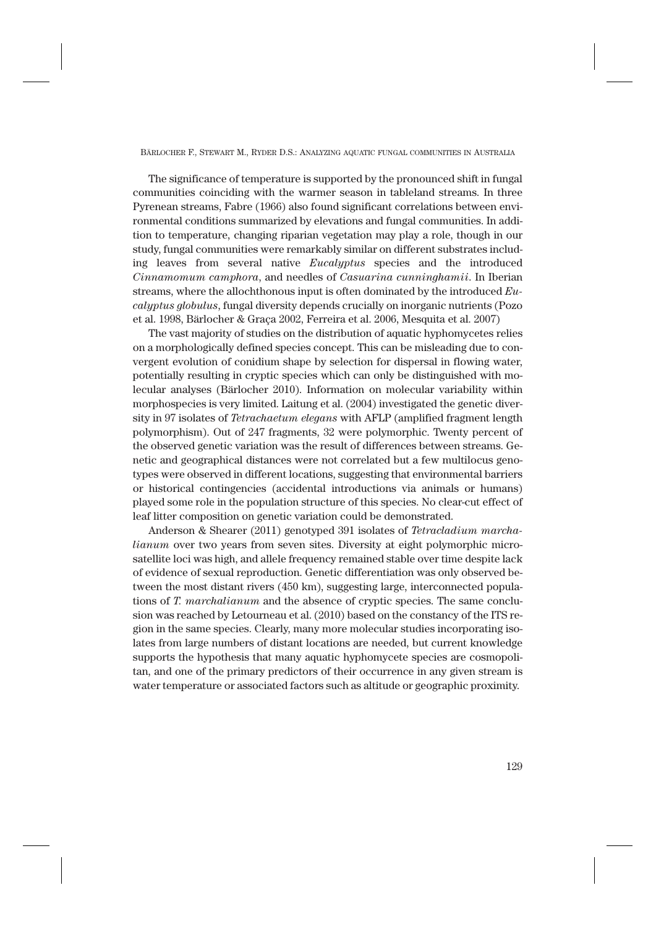The significance of temperature is supported by the pronounced shift in fungal communities coinciding with the warmer season in tableland streams. In three Pyrenean streams, Fabre (1966) also found significant correlations between environmental conditions summarized by elevations and fungal communities. In addition to temperature, changing riparian vegetation may play a role, though in our study, fungal communities were remarkably similar on different substrates including leaves from several native *Eucalyptus* species and the introduced *Cinnamomum camphora*, and needles of *Casuarina cunninghamii*. In Iberian streams, where the allochthonous input is often dominated by the introduced *Eucalyptus globulus*, fungal diversity depends crucially on inorganic nutrients (Pozo et al. 1998, Bärlocher & Graça 2002, Ferreira et al. 2006, Mesquita et al. 2007)

The vast majority of studies on the distribution of aquatic hyphomycetes relies on a morphologically defined species concept. This can be misleading due to convergent evolution of conidium shape by selection for dispersal in flowing water, potentially resulting in cryptic species which can only be distinguished with molecular analyses (Bärlocher 2010). Information on molecular variability within morphospecies is very limited. Laitung et al. (2004) investigated the genetic diversity in 97 isolates of *Tetrachaetum elegans* with AFLP (amplified fragment length polymorphism). Out of 247 fragments, 32 were polymorphic. Twenty percent of the observed genetic variation was the result of differences between streams. Genetic and geographical distances were not correlated but a few multilocus genotypes were observed in different locations, suggesting that environmental barriers or historical contingencies (accidental introductions via animals or humans) played some role in the population structure of this species. No clear-cut effect of leaf litter composition on genetic variation could be demonstrated.

Anderson & Shearer (2011) genotyped 391 isolates of *Tetracladium marchalianum* over two years from seven sites. Diversity at eight polymorphic microsatellite loci was high, and allele frequency remained stable over time despite lack of evidence of sexual reproduction. Genetic differentiation was only observed between the most distant rivers (450 km), suggesting large, interconnected populations of *T. marchalianum* and the absence of cryptic species. The same conclusion was reached by Letourneau et al. (2010) based on the constancy of the ITS region in the same species. Clearly, many more molecular studies incorporating isolates from large numbers of distant locations are needed, but current knowledge supports the hypothesis that many aquatic hyphomycete species are cosmopolitan, and one of the primary predictors of their occurrence in any given stream is water temperature or associated factors such as altitude or geographic proximity.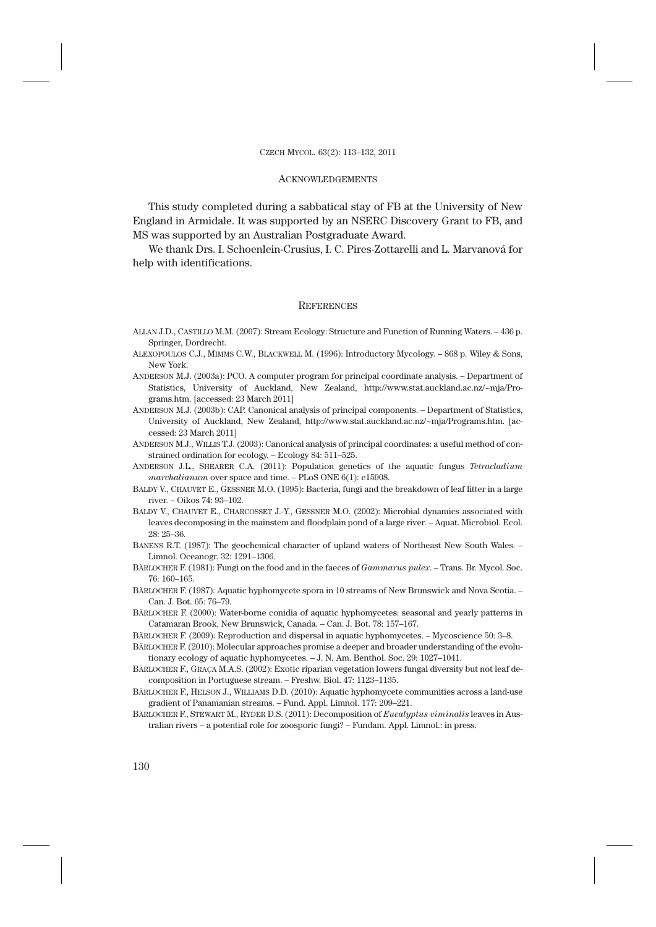## **ACKNOWLEDGEMENTS**

This study completed during a sabbatical stay of FB at the University of New England in Armidale. It was supported by an NSERC Discovery Grant to FB, and MS was supported by an Australian Postgraduate Award.

We thank Drs. I. Schoenlein-Crusius, I. C. Pires-Zottarelli and L. Marvanová for help with identifications.

#### **REFERENCES**

- ALLAN J.D., CASTILLO M.M. (2007): Stream Ecology: Structure and Function of Running Waters. 436 p. Springer, Dordrecht.
- ALEXOPOULOS C.J., MIMMS C.W., BLACKWELL M. (1996): Introductory Mycology. 868 p. Wiley & Sons, New York.
- ANDERSON M.J. (2003a): PCO. A computer program for principal coordinate analysis. Department of Statistics, University of Auckland, New Zealand, http://www.stat.auckland.ac.nz/~mja/Programs.htm. [accessed: 23 March 2011]
- ANDERSON M.J. (2003b): CAP. Canonical analysis of principal components. Department of Statistics, University of Auckland, New Zealand, http://www.stat.auckland.ac.nz/~mja/Programs.htm. [accessed: 23 March 2011]
- ANDERSON M.J., WILLIS T.J. (2003): Canonical analysis of principal coordinates: a useful method of constrained ordination for ecology. – Ecology 84: 511–525.
- ANDERSON J.L., SHEARER C.A. (2011): Population genetics of the aquatic fungus *Tetracladium marchalianum* over space and time. – PLoS ONE 6(1): e15908.
- BALDY V., CHAUVET E., GESSNER M.O. (1995): Bacteria, fungi and the breakdown of leaf litter in a large river. – Oikos 74: 93–102.
- BALDY V., CHAUVET E., CHARCOSSET J.-Y., GESSNER M.O. (2002): Microbial dynamics associated with leaves decomposing in the mainstem and floodplain pond of a large river. – Aquat. Microbiol. Ecol. 28: 25–36.
- BANENS R.T. (1987): The geochemical character of upland waters of Northeast New South Wales. Limnol. Oceanogr. 32: 1291–1306.
- BÄRLOCHER F. (1981): Fungi on the food and in the faeces of *Gammarus pulex*. Trans. Br. Mycol. Soc. 76: 160–165.
- BÄRLOCHER F. (1987): Aquatic hyphomycete spora in 10 streams of New Brunswick and Nova Scotia. Can. J. Bot. 65: 76–79.
- BÄRLOCHER F. (2000): Water-borne conidia of aquatic hyphomycetes: seasonal and yearly patterns in Catamaran Brook, New Brunswick, Canada. – Can. J. Bot. 78: 157–167.
- BÄRLOCHER F. (2009): Reproduction and dispersal in aquatic hyphomycetes. Mycoscience 50: 3–8.
- BÄRLOCHER F. (2010): Molecular approaches promise a deeper and broader understanding of the evolutionary ecology of aquatic hyphomycetes. – J. N. Am. Benthol. Soc. 29: 1027–1041.
- BÄRLOCHER F., GRAÇA M.A.S. (2002): Exotic riparian vegetation lowers fungal diversity but not leaf decomposition in Portuguese stream. – Freshw. Biol. 47: 1123–1135.
- BÄRLOCHER F., HELSON J., WILLIAMS D.D. (2010): Aquatic hyphomycete communities across a land-use gradient of Panamanian streams. – Fund. Appl. Limnol. 177: 209–221.
- BÄRLOCHER F., STEWART M., RYDER D.S. (2011): Decomposition of *Eucalyptus viminalis* leaves in Australian rivers – a potential role for zoosporic fungi? – Fundam. Appl. Limnol.: in press.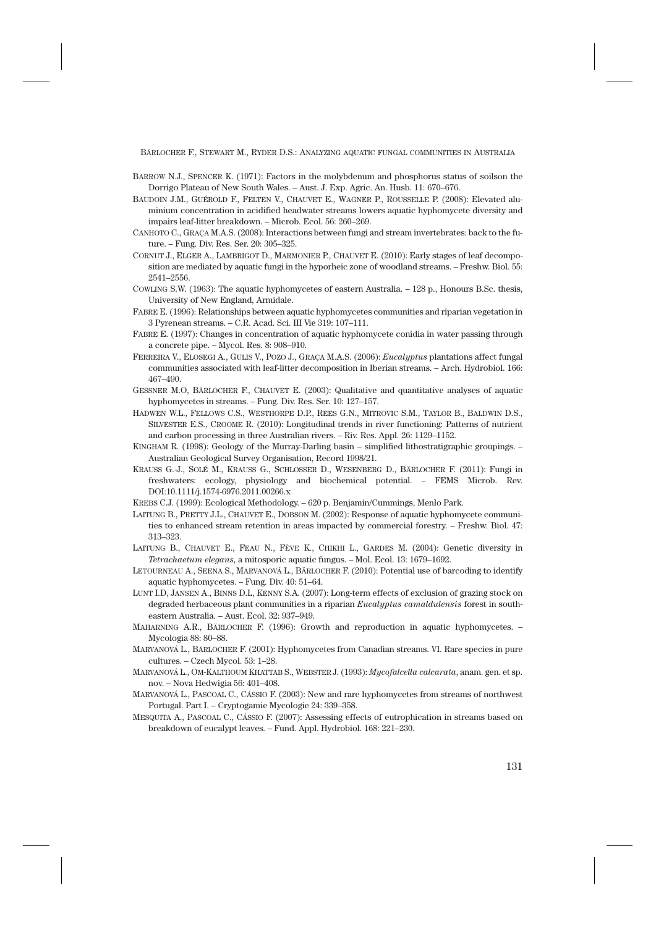- BARROW N.J., SPENCER K. (1971): Factors in the molybdenum and phosphorus status of soilson the Dorrigo Plateau of New South Wales. – Aust. J. Exp. Agric. An. Husb. 11: 670–676.
- BAUDOIN J.M., GUÉROLD F., FELTEN V., CHAUVET E., WAGNER P., ROUSSELLE P. (2008): Elevated aluminium concentration in acidified headwater streams lowers aquatic hyphomycete diversity and impairs leaf-litter breakdown. – Microb. Ecol. 56: 260–269.
- CANHOTO C., GRAÇA M.A.S. (2008): Interactions between fungi and stream invertebrates: back to the future. – Fung. Div. Res. Ser. 20: 305–325.
- CORNUT J., ELGER A., LAMBRIGOT D., MARMONIER P., CHAUVET E. (2010): Early stages of leaf decomposition are mediated by aquatic fungi in the hyporheic zone of woodland streams. – Freshw. Biol. 55: 2541–2556.
- COWLING S.W. (1963): The aquatic hyphomycetes of eastern Australia. 128 p., Honours B.Sc. thesis, University of New England, Armidale.
- FABRE E. (1996): Relationships between aquatic hyphomycetes communities and riparian vegetation in 3 Pyrenean streams. – C.R. Acad. Sci. III Vie 319: 107–111.
- FABRE E. (1997): Changes in concentration of aquatic hyphomycete conidia in water passing through a concrete pipe. – Mycol. Res. 8: 908–910.
- FERREIRA V., ELOSEGI A., GULIS V., POZO J., GRAÇA M.A.S. (2006): *Eucalyptus* plantations affect fungal communities associated with leaf-litter decomposition in Iberian streams. – Arch. Hydrobiol. 166: 467–490.
- GESSNER M.O, BÄRLOCHER F., CHAUVET E. (2003): Qualitative and quantitative analyses of aquatic hyphomycetes in streams. – Fung. Div. Res. Ser. 10: 127–157.
- HADWEN W.L., FELLOWS C.S., WESTHORPE D.P., REES G.N., MITROVIC S.M., TAYLOR B., BALDWIN D.S., SILVESTER E.S., CROOME R. (2010): Longitudinal trends in river functioning: Patterns of nutrient and carbon processing in three Australian rivers. – Riv. Res. Appl. 26: 1129–1152.
- KINGHAM R. (1998): Geology of the Murray-Darling basin simplified lithostratigraphic groupings. Australian Geological Survey Organisation, Record 1998/21.
- KRAUSS G.-J., SOLÉ M., KRAUSS G., SCHLOSSER D., WESENBERG D., BÄRLOCHER F. (2011): Fungi in freshwaters: ecology, physiology and biochemical potential. – FEMS Microb. Rev. DOI:10.1111/j.1574-6976.2011.00266.x
- KREBS C.J. (1999): Ecological Methodology. 620 p. Benjamin/Cummings, Menlo Park.
- LAITUNG B., PRETTY J.L., CHAUVET E., DOBSON M. (2002): Response of aquatic hyphomycete communities to enhanced stream retention in areas impacted by commercial forestry. – Freshw. Biol. 47: 313–323.
- LAITUNG B., CHAUVET E., FEAU N., FÈVE K., CHIKHI L., GARDES M. (2004): Genetic diversity in *Tetrachaetum elegans*, a mitosporic aquatic fungus. – Mol. Ecol. 13: 1679–1692.
- LETOURNEAU A., SEENA S., MARVANOVÁ L., BÄRLOCHER F. (2010): Potential use of barcoding to identify aquatic hyphomycetes. – Fung. Div. 40: 51–64.
- LUNT I.D, JANSEN A., BINNS D.L, KENNY S.A. (2007): Long-term effects of exclusion of grazing stock on degraded herbaceous plant communities in a riparian *Eucalyptus camaldulensis* forest in southeastern Australia. – Aust. Ecol. 32: 937–949.
- MAHARNING A.R., BÄRLOCHER F. (1996): Growth and reproduction in aquatic hyphomycetes. Mycologia 88: 80–88.
- MARVANOVÁ L., BÄRLOCHER F. (2001): Hyphomycetes from Canadian streams. VI. Rare species in pure cultures. – Czech Mycol. 53: 1–28.
- MARVANOVÁ L., OM-KALTHOUM KHATTAB S., WEBSTER J. (1993): *Mycofalcella calcarata*, anam. gen. et sp. nov. – Nova Hedwigia 56: 401–408.
- MARVANOVÁ L., PASCOAL C., CÁSSIO F. (2003): New and rare hyphomycetes from streams of northwest Portugal. Part I. – Cryptogamie Mycologie 24: 339–358.
- MESQUITA A., PASCOAL C., CÁSSIO F. (2007): Assessing effects of eutrophication in streams based on breakdown of eucalypt leaves. – Fund. Appl. Hydrobiol. 168: 221–230.